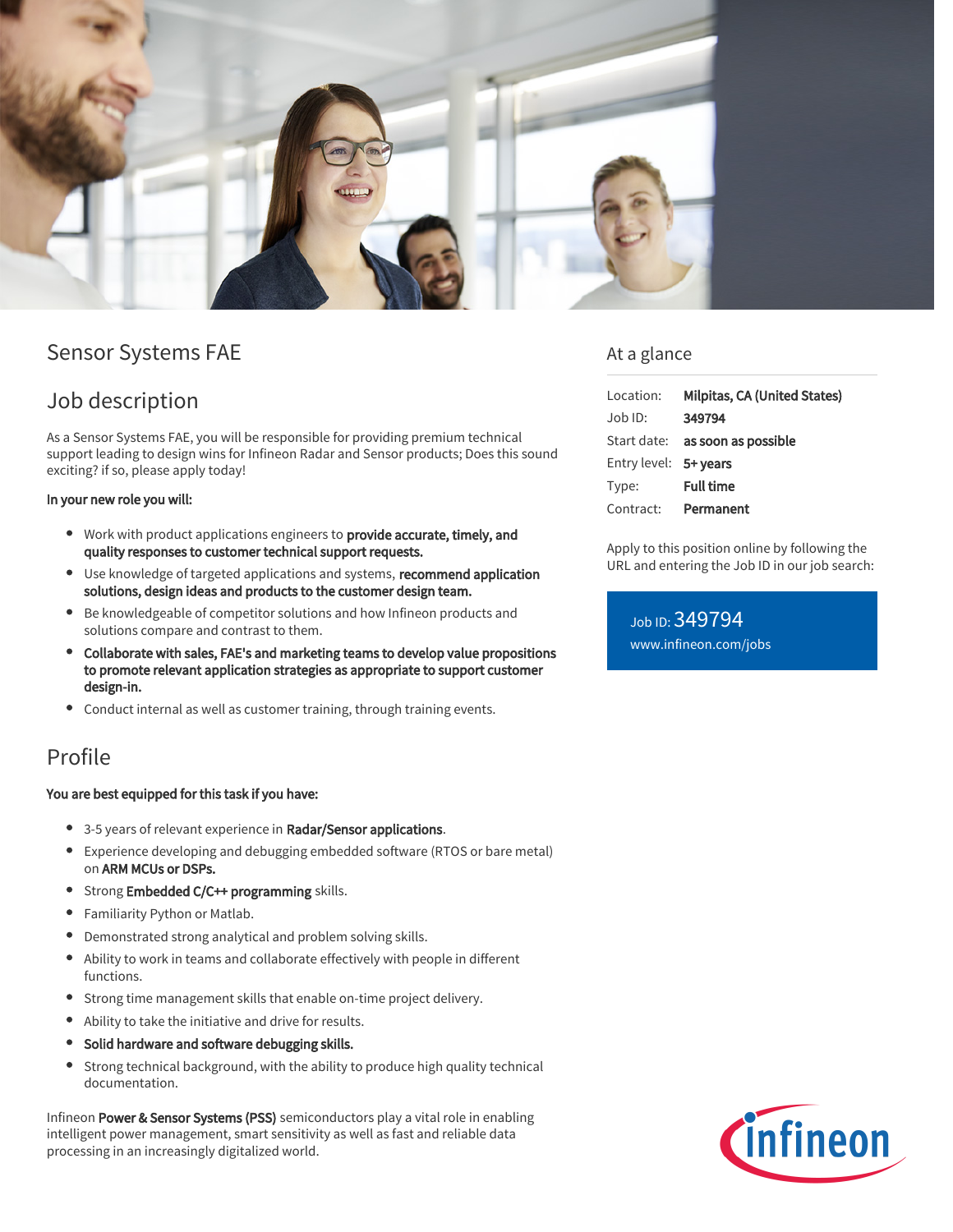

# Sensor Systems FAE

# Job description

As a Sensor Systems FAE, you will be responsible for providing premium technical support leading to design wins for Infineon Radar and Sensor products; Does this sound exciting? if so, please apply today!

#### In your new role you will:

- **Work with product applications engineers to provide accurate, timely, and** quality responses to customer technical support requests.
- Use knowledge of targeted applications and systems, recommend application solutions, design ideas and products to the customer design team.
- Be knowledgeable of competitor solutions and how Infineon products and solutions compare and contrast to them.
- Collaborate with sales, FAE's and marketing teams to develop value propositions to promote relevant application strategies as appropriate to support customer design-in.
- Conduct internal as well as customer training, through training events.

### Profile

#### You are best equipped for this task if you have:

- 3-5 years of relevant experience in Radar/Sensor applications.
- Experience developing and debugging embedded software (RTOS or bare metal) on ARM MCUs or DSPs.
- Strong Embedded C/C++ programming skills.
- Familiarity Python or Matlab.
- Demonstrated strong analytical and problem solving skills.
- Ability to work in teams and collaborate effectively with people in different functions.
- Strong time management skills that enable on-time project delivery.
- Ability to take the initiative and drive for results.
- Solid hardware and software debugging skills.
- Strong technical background, with the ability to produce high quality technical  $\bullet$ documentation.

Infineon Power & Sensor Systems (PSS) semiconductors play a vital role in enabling intelligent power management, smart sensitivity as well as fast and reliable data processing in an increasingly digitalized world.

### At a glance

| Location:             | Milpitas, CA (United States)           |
|-----------------------|----------------------------------------|
| :Job ID               | 349794                                 |
|                       | Start date: <b>as soon as possible</b> |
| Entry level: 5+ years |                                        |
| Type:                 | <b>Full time</b>                       |
| Contract:             | Permanent                              |

Apply to this position online by following the URL and entering the Job ID in our job search:

Job ID: 349794 [www.infineon.com/jobs](https://www.infineon.com/jobs)

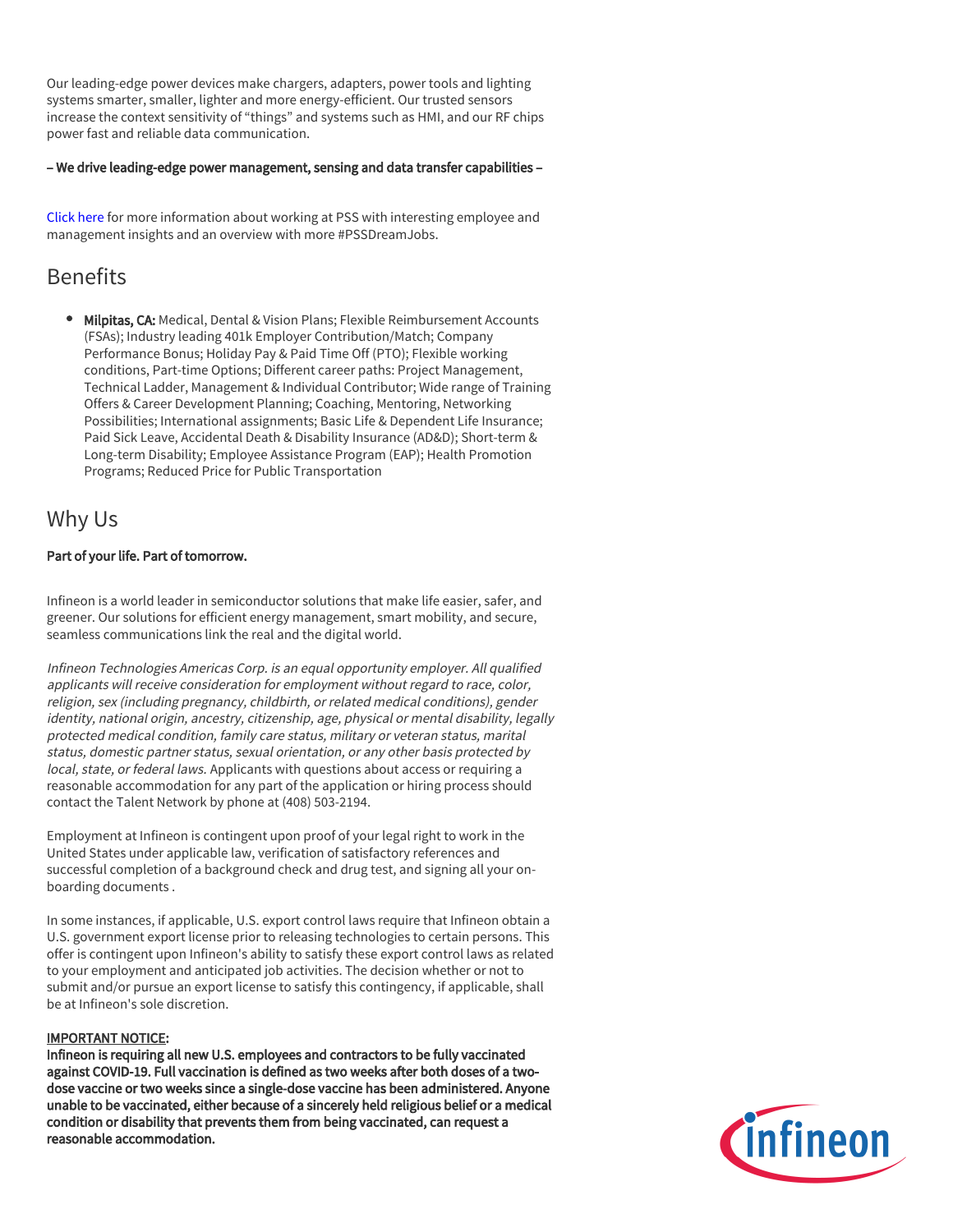Our leading-edge power devices make chargers, adapters, power tools and lighting systems smarter, smaller, lighter and more energy-efficient. Our trusted sensors increase the context sensitivity of "things" and systems such as HMI, and our RF chips power fast and reliable data communication.

#### – We drive leading-edge power management, sensing and data transfer capabilities –

[Click here](https://www.infineon.com/cms/en/careers/working-at-infineon/PSSDreamJob/) for more information about working at PSS with interesting employee and management insights and an overview with more #PSSDreamJobs.

## Benefits

**Milpitas, CA:** Medical, Dental & Vision Plans; Flexible Reimbursement Accounts (FSAs); Industry leading 401k Employer Contribution/Match; Company Performance Bonus; Holiday Pay & Paid Time Off (PTO); Flexible working conditions, Part-time Options; Different career paths: Project Management, Technical Ladder, Management & Individual Contributor; Wide range of Training Offers & Career Development Planning; Coaching, Mentoring, Networking Possibilities; International assignments; Basic Life & Dependent Life Insurance; Paid Sick Leave, Accidental Death & Disability Insurance (AD&D); Short-term & Long-term Disability; Employee Assistance Program (EAP); Health Promotion Programs; Reduced Price for Public Transportation

### Why Us

#### Part of your life. Part of tomorrow.

Infineon is a world leader in semiconductor solutions that make life easier, safer, and greener. Our solutions for efficient energy management, smart mobility, and secure, seamless communications link the real and the digital world.

Infineon Technologies Americas Corp. is an equal opportunity employer. All qualified applicants will receive consideration for employment without regard to race, color, religion, sex (including pregnancy, childbirth, or related medical conditions), gender identity, national origin, ancestry, citizenship, age, physical or mental disability, legally protected medical condition, family care status, military or veteran status, marital status, domestic partner status, sexual orientation, or any other basis protected by local, state, or federal laws. Applicants with questions about access or requiring a reasonable accommodation for any part of the application or hiring process should contact the Talent Network by phone at (408) 503-2194.

Employment at Infineon is contingent upon proof of your legal right to work in the United States under applicable law, verification of satisfactory references and successful completion of a background check and drug test, and signing all your onboarding documents .

In some instances, if applicable, U.S. export control laws require that Infineon obtain a U.S. government export license prior to releasing technologies to certain persons. This offer is contingent upon Infineon's ability to satisfy these export control laws as related to your employment and anticipated job activities. The decision whether or not to submit and/or pursue an export license to satisfy this contingency, if applicable, shall be at Infineon's sole discretion.

#### IMPORTANT NOTICE:

Infineon is requiring all new U.S. employees and contractors to be fully vaccinated against COVID-19. Full vaccination is defined as two weeks after both doses of a twodose vaccine or two weeks since a single-dose vaccine has been administered. Anyone unable to be vaccinated, either because of a sincerely held religious belief or a medical condition or disability that prevents them from being vaccinated, can request a reasonable accommodation.